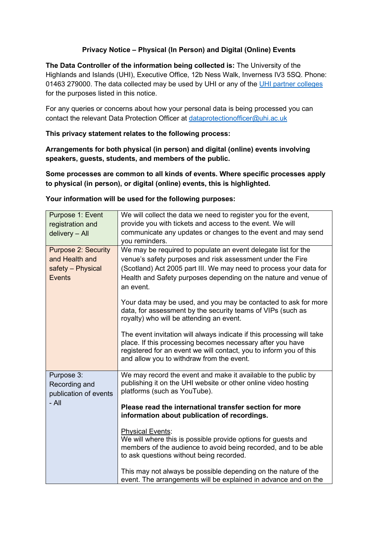## **Privacy Notice – Physical (In Person) and Digital (Online) Events**

**The Data Controller of the information being collected is:** The University of the Highlands and Islands (UHI), Executive Office, 12b Ness Walk, Inverness IV3 5SQ. Phone: 01463 279000. The data collected may be used by UHI or any of the [UHI partner colleges](https://www.uhi.ac.uk/en/campuses/) for the purposes listed in this notice.

For any queries or concerns about how your personal data is being processed you can contact the relevant Data Protection Officer at [dataprotectionofficer@uhi.ac.uk](mailto:dataprotectionofficer@uhi.ac.uk)

**This privacy statement relates to the following process:**

**Arrangements for both physical (in person) and digital (online) events involving speakers, guests, students, and members of the public.** 

**Some processes are common to all kinds of events. Where specific processes apply to physical (in person), or digital (online) events, this is highlighted.**

| Purpose 1: Event<br>registration and<br>delivery - All                             | We will collect the data we need to register you for the event,<br>provide you with tickets and access to the event. We will<br>communicate any updates or changes to the event and may send<br>you reminders.                                                                                                                                                                                                      |
|------------------------------------------------------------------------------------|---------------------------------------------------------------------------------------------------------------------------------------------------------------------------------------------------------------------------------------------------------------------------------------------------------------------------------------------------------------------------------------------------------------------|
| <b>Purpose 2: Security</b><br>and Health and<br>safety - Physical<br><b>Events</b> | We may be required to populate an event delegate list for the<br>venue's safety purposes and risk assessment under the Fire<br>(Scotland) Act 2005 part III. We may need to process your data for<br>Health and Safety purposes depending on the nature and venue of<br>an event.<br>Your data may be used, and you may be contacted to ask for more<br>data, for assessment by the security teams of VIPs (such as |
|                                                                                    | royalty) who will be attending an event.<br>The event invitation will always indicate if this processing will take<br>place. If this processing becomes necessary after you have<br>registered for an event we will contact, you to inform you of this<br>and allow you to withdraw from the event.                                                                                                                 |
| Purpose 3:<br>Recording and<br>publication of events<br>$-$ All                    | We may record the event and make it available to the public by<br>publishing it on the UHI website or other online video hosting<br>platforms (such as YouTube).<br>Please read the international transfer section for more<br>information about publication of recordings.                                                                                                                                         |
|                                                                                    | <b>Physical Events:</b><br>We will where this is possible provide options for guests and<br>members of the audience to avoid being recorded, and to be able<br>to ask questions without being recorded.                                                                                                                                                                                                             |
|                                                                                    | This may not always be possible depending on the nature of the<br>event. The arrangements will be explained in advance and on the                                                                                                                                                                                                                                                                                   |

**Your information will be used for the following purposes:**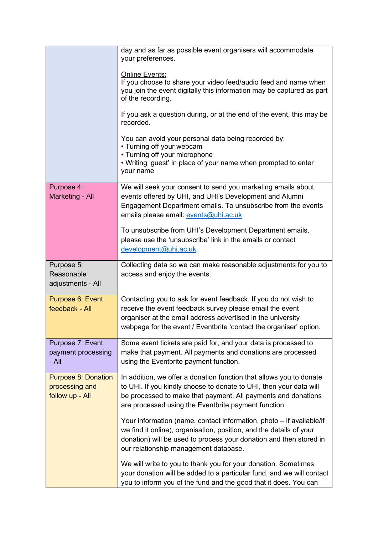|                                                 | day and as far as possible event organisers will accommodate<br>your preferences.<br><b>Online Events:</b><br>If you choose to share your video feed/audio feed and name when<br>you join the event digitally this information may be captured as part<br>of the recording.<br>If you ask a question during, or at the end of the event, this may be<br>recorded.<br>You can avoid your personal data being recorded by:<br>• Turning off your webcam<br>• Turning off your microphone<br>. Writing 'guest' in place of your name when prompted to enter<br>your name |
|-------------------------------------------------|-----------------------------------------------------------------------------------------------------------------------------------------------------------------------------------------------------------------------------------------------------------------------------------------------------------------------------------------------------------------------------------------------------------------------------------------------------------------------------------------------------------------------------------------------------------------------|
| Purpose 4:                                      | We will seek your consent to send you marketing emails about                                                                                                                                                                                                                                                                                                                                                                                                                                                                                                          |
| Marketing - All                                 | events offered by UHI, and UHI's Development and Alumni<br>Engagement Department emails. To unsubscribe from the events<br>emails please email: events@uhi.ac.uk<br>To unsubscribe from UHI's Development Department emails,<br>please use the 'unsubscribe' link in the emails or contact<br>development@uhi.ac.uk.                                                                                                                                                                                                                                                  |
| Purpose 5:                                      | Collecting data so we can make reasonable adjustments for you to                                                                                                                                                                                                                                                                                                                                                                                                                                                                                                      |
| Reasonable<br>adjustments - All                 | access and enjoy the events.                                                                                                                                                                                                                                                                                                                                                                                                                                                                                                                                          |
| Purpose 6: Event                                | Contacting you to ask for event feedback. If you do not wish to                                                                                                                                                                                                                                                                                                                                                                                                                                                                                                       |
| feedback - All                                  | receive the event feedback survey please email the event<br>organiser at the email address advertised in the university                                                                                                                                                                                                                                                                                                                                                                                                                                               |
|                                                 | webpage for the event / Eventbrite 'contact the organiser' option.                                                                                                                                                                                                                                                                                                                                                                                                                                                                                                    |
| Purpose 7: Event<br>payment processing<br>- All | Some event tickets are paid for, and your data is processed to<br>make that payment. All payments and donations are processed<br>using the Eventbrite payment function.                                                                                                                                                                                                                                                                                                                                                                                               |
| <b>Purpose 8: Donation</b><br>processing and    | In addition, we offer a donation function that allows you to donate<br>to UHI. If you kindly choose to donate to UHI, then your data will                                                                                                                                                                                                                                                                                                                                                                                                                             |
| follow up - All                                 | be processed to make that payment. All payments and donations<br>are processed using the Eventbrite payment function.                                                                                                                                                                                                                                                                                                                                                                                                                                                 |
|                                                 | Your information (name, contact information, photo – if available/if<br>we find it online), organisation, position, and the details of your<br>donation) will be used to process your donation and then stored in<br>our relationship management database.                                                                                                                                                                                                                                                                                                            |
|                                                 | We will write to you to thank you for your donation. Sometimes<br>your donation will be added to a particular fund, and we will contact<br>you to inform you of the fund and the good that it does. You can                                                                                                                                                                                                                                                                                                                                                           |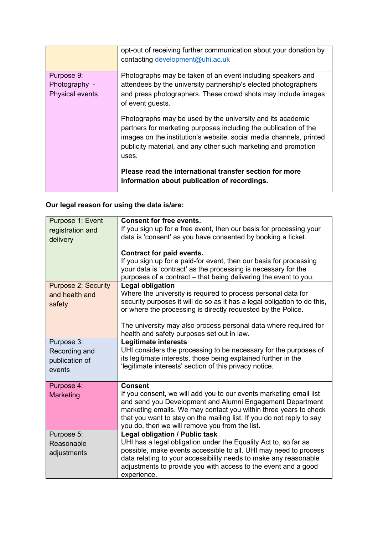|                        | opt-out of receiving further communication about your donation by<br>contacting development@uhi.ac.uk                                                                                                                                                                            |
|------------------------|----------------------------------------------------------------------------------------------------------------------------------------------------------------------------------------------------------------------------------------------------------------------------------|
| Purpose 9:             | Photographs may be taken of an event including speakers and                                                                                                                                                                                                                      |
| Photography -          | attendees by the university partnership's elected photographers                                                                                                                                                                                                                  |
| <b>Physical events</b> | and press photographers. These crowd shots may include images<br>of event guests.                                                                                                                                                                                                |
|                        | Photographs may be used by the university and its academic<br>partners for marketing purposes including the publication of the<br>images on the institution's website, social media channels, printed<br>publicity material, and any other such marketing and promotion<br>uses. |
|                        | Please read the international transfer section for more<br>information about publication of recordings.                                                                                                                                                                          |

# **Our legal reason for using the data is/are:**

| Purpose 1: Event           | <b>Consent for free events.</b>                                          |
|----------------------------|--------------------------------------------------------------------------|
| registration and           | If you sign up for a free event, then our basis for processing your      |
| delivery                   | data is 'consent' as you have consented by booking a ticket.             |
|                            |                                                                          |
|                            | <b>Contract for paid events.</b>                                         |
|                            | If you sign up for a paid-for event, then our basis for processing       |
|                            | your data is 'contract' as the processing is necessary for the           |
|                            | purposes of a contract - that being delivering the event to you.         |
| <b>Purpose 2: Security</b> | <b>Legal obligation</b>                                                  |
|                            | Where the university is required to process personal data for            |
| and health and             |                                                                          |
| safety                     | security purposes it will do so as it has a legal obligation to do this, |
|                            | or where the processing is directly requested by the Police.             |
|                            |                                                                          |
|                            | The university may also process personal data where required for         |
|                            | health and safety purposes set out in law.                               |
| Purpose 3:                 | Legitimate interests                                                     |
| Recording and              | UHI considers the processing to be necessary for the purposes of         |
| publication of             | its legitimate interests, those being explained further in the           |
|                            | 'legitimate interests' section of this privacy notice.                   |
| events                     |                                                                          |
| Purpose 4:                 | <b>Consent</b>                                                           |
|                            |                                                                          |
| Marketing                  | If you consent, we will add you to our events marketing email list       |
|                            | and send you Development and Alumni Engagement Department                |
|                            | marketing emails. We may contact you within three years to check         |
|                            | that you want to stay on the mailing list. If you do not reply to say    |
|                            | you do, then we will remove you from the list.                           |
| Purpose 5:                 | <b>Legal obligation / Public task</b>                                    |
| Reasonable                 | UHI has a legal obligation under the Equality Act to, so far as          |
| adjustments                | possible, make events accessible to all. UHI may need to process         |
|                            | data relating to your accessibility needs to make any reasonable         |
|                            | adjustments to provide you with access to the event and a good           |
|                            | experience.                                                              |
|                            |                                                                          |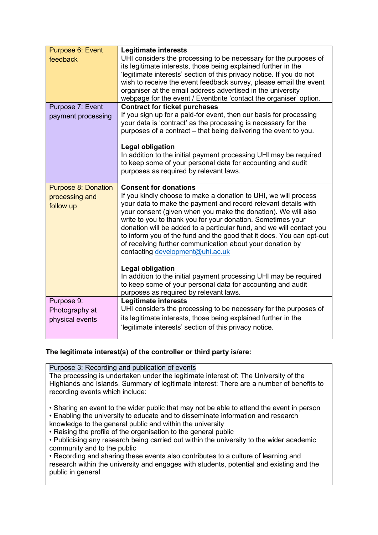| Purpose 6: Event<br>feedback                              | <b>Legitimate interests</b><br>UHI considers the processing to be necessary for the purposes of<br>its legitimate interests, those being explained further in the<br>'legitimate interests' section of this privacy notice. If you do not<br>wish to receive the event feedback survey, please email the event<br>organiser at the email address advertised in the university                                                                                                                                                                      |
|-----------------------------------------------------------|----------------------------------------------------------------------------------------------------------------------------------------------------------------------------------------------------------------------------------------------------------------------------------------------------------------------------------------------------------------------------------------------------------------------------------------------------------------------------------------------------------------------------------------------------|
|                                                           | webpage for the event / Eventbrite 'contact the organiser' option.                                                                                                                                                                                                                                                                                                                                                                                                                                                                                 |
| Purpose 7: Event<br>payment processing                    | <b>Contract for ticket purchases</b><br>If you sign up for a paid-for event, then our basis for processing<br>your data is 'contract' as the processing is necessary for the<br>purposes of a contract – that being delivering the event to you.                                                                                                                                                                                                                                                                                                   |
|                                                           | <b>Legal obligation</b><br>In addition to the initial payment processing UHI may be required<br>to keep some of your personal data for accounting and audit<br>purposes as required by relevant laws.                                                                                                                                                                                                                                                                                                                                              |
| <b>Purpose 8: Donation</b><br>processing and<br>follow up | <b>Consent for donations</b><br>If you kindly choose to make a donation to UHI, we will process<br>your data to make the payment and record relevant details with<br>your consent (given when you make the donation). We will also<br>write to you to thank you for your donation. Sometimes your<br>donation will be added to a particular fund, and we will contact you<br>to inform you of the fund and the good that it does. You can opt-out<br>of receiving further communication about your donation by<br>contacting development@uhi.ac.uk |
|                                                           | <b>Legal obligation</b><br>In addition to the initial payment processing UHI may be required<br>to keep some of your personal data for accounting and audit<br>purposes as required by relevant laws.                                                                                                                                                                                                                                                                                                                                              |
| Purpose 9:<br>Photography at<br>physical events           | <b>Legitimate interests</b><br>UHI considers the processing to be necessary for the purposes of<br>its legitimate interests, those being explained further in the<br>'legitimate interests' section of this privacy notice.                                                                                                                                                                                                                                                                                                                        |

## **The legitimate interest(s) of the controller or third party is/are:**

Purpose 3: Recording and publication of events The processing is undertaken under the legitimate interest of: The University of the Highlands and Islands. Summary of legitimate interest: There are a number of benefits to recording events which include:

• Sharing an event to the wider public that may not be able to attend the event in person • Enabling the university to educate and to disseminate information and research

knowledge to the general public and within the university

• Raising the profile of the organisation to the general public

• Publicising any research being carried out within the university to the wider academic community and to the public

• Recording and sharing these events also contributes to a culture of learning and research within the university and engages with students, potential and existing and the public in general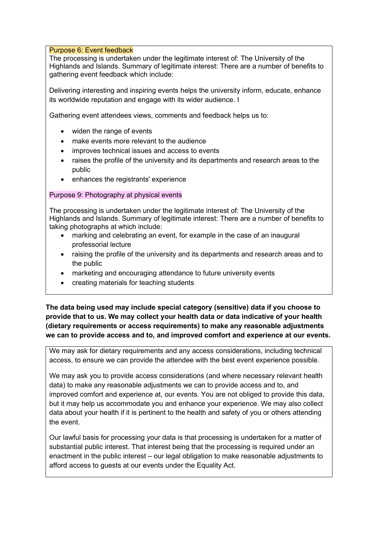#### Purpose 6: Event feedback

The processing is undertaken under the legitimate interest of: The University of the Highlands and Islands. Summary of legitimate interest: There are a number of benefits to gathering event feedback which include:

Delivering interesting and inspiring events helps the university inform, educate, enhance its worldwide reputation and engage with its wider audience. I

Gathering event attendees views, comments and feedback helps us to:

- widen the range of events
- make events more relevant to the audience
- improves technical issues and access to events
- raises the profile of the university and its departments and research areas to the public
- enhances the registrants' experience

#### Purpose 9: Photography at physical events

The processing is undertaken under the legitimate interest of: The University of the Highlands and Islands. Summary of legitimate interest: There are a number of benefits to taking photographs at which include:

- marking and celebrating an event, for example in the case of an inaugural professorial lecture
- raising the profile of the university and its departments and research areas and to the public
- marketing and encouraging attendance to future university events
- creating materials for teaching students

**The data being used may include special category (sensitive) data if you choose to provide that to us. We may collect your health data or data indicative of your health (dietary requirements or access requirements) to make any reasonable adjustments we can to provide access and to, and improved comfort and experience at our events.** 

We may ask for dietary requirements and any access considerations, including technical access, to ensure we can provide the attendee with the best event experience possible.

We may ask you to provide access considerations (and where necessary relevant health data) to make any reasonable adjustments we can to provide access and to, and improved comfort and experience at, our events. You are not obliged to provide this data, but it may help us accommodate you and enhance your experience. We may also collect data about your health if it is pertinent to the health and safety of you or others attending the event.

Our lawful basis for processing your data is that processing is undertaken for a matter of substantial public interest. That interest being that the processing is required under an enactment in the public interest – our legal obligation to make reasonable adjustments to afford access to guests at our events under the Equality Act.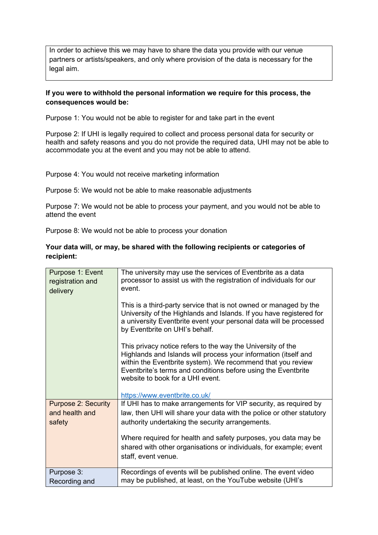In order to achieve this we may have to share the data you provide with our venue partners or artists/speakers, and only where provision of the data is necessary for the legal aim.

#### **If you were to withhold the personal information we require for this process, the consequences would be:**

Purpose 1: You would not be able to register for and take part in the event

Purpose 2: If UHI is legally required to collect and process personal data for security or health and safety reasons and you do not provide the required data, UHI may not be able to accommodate you at the event and you may not be able to attend.

Purpose 4: You would not receive marketing information

Purpose 5: We would not be able to make reasonable adjustments

Purpose 7: We would not be able to process your payment, and you would not be able to attend the event

Purpose 8: We would not be able to process your donation

#### **Your data will, or may, be shared with the following recipients or categories of recipient:**

| Purpose 1: Event<br>registration and<br>delivery | The university may use the services of Eventbrite as a data<br>processor to assist us with the registration of individuals for our<br>event.<br>This is a third-party service that is not owned or managed by the<br>University of the Highlands and Islands. If you have registered for<br>a university Eventbrite event your personal data will be processed<br>by Eventbrite on UHI's behalf.<br>This privacy notice refers to the way the University of the<br>Highlands and Islands will process your information (itself and<br>within the Eventbrite system). We recommend that you review<br>Eventbrite's terms and conditions before using the Eventbrite<br>website to book for a UHI event.<br>https://www.eventbrite.co.uk/ |
|--------------------------------------------------|-----------------------------------------------------------------------------------------------------------------------------------------------------------------------------------------------------------------------------------------------------------------------------------------------------------------------------------------------------------------------------------------------------------------------------------------------------------------------------------------------------------------------------------------------------------------------------------------------------------------------------------------------------------------------------------------------------------------------------------------|
| <b>Purpose 2: Security</b><br>and health and     | If UHI has to make arrangements for VIP security, as required by<br>law, then UHI will share your data with the police or other statutory                                                                                                                                                                                                                                                                                                                                                                                                                                                                                                                                                                                               |
| safety                                           | authority undertaking the security arrangements.                                                                                                                                                                                                                                                                                                                                                                                                                                                                                                                                                                                                                                                                                        |
|                                                  | Where required for health and safety purposes, you data may be<br>shared with other organisations or individuals, for example; event                                                                                                                                                                                                                                                                                                                                                                                                                                                                                                                                                                                                    |
|                                                  | staff, event venue.                                                                                                                                                                                                                                                                                                                                                                                                                                                                                                                                                                                                                                                                                                                     |
| Purpose 3:<br>Recording and                      | Recordings of events will be published online. The event video<br>may be published, at least, on the YouTube website (UHI's                                                                                                                                                                                                                                                                                                                                                                                                                                                                                                                                                                                                             |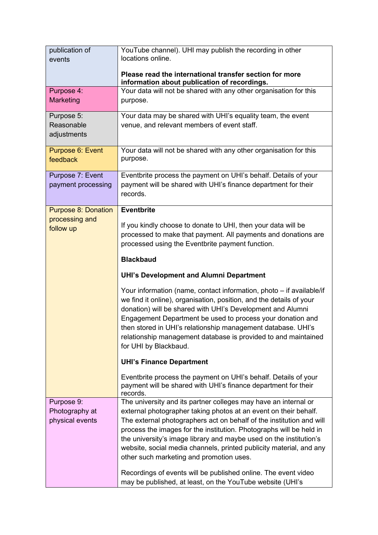| publication of<br>events                     | YouTube channel). UHI may publish the recording in other<br>locations online.                                                                                                                                                                                                                                                                                                                                                      |
|----------------------------------------------|------------------------------------------------------------------------------------------------------------------------------------------------------------------------------------------------------------------------------------------------------------------------------------------------------------------------------------------------------------------------------------------------------------------------------------|
|                                              | Please read the international transfer section for more<br>information about publication of recordings.                                                                                                                                                                                                                                                                                                                            |
| Purpose 4:                                   | Your data will not be shared with any other organisation for this                                                                                                                                                                                                                                                                                                                                                                  |
| Marketing                                    | purpose.                                                                                                                                                                                                                                                                                                                                                                                                                           |
| Purpose 5:                                   | Your data may be shared with UHI's equality team, the event                                                                                                                                                                                                                                                                                                                                                                        |
| Reasonable                                   | venue, and relevant members of event staff.                                                                                                                                                                                                                                                                                                                                                                                        |
| adjustments                                  |                                                                                                                                                                                                                                                                                                                                                                                                                                    |
| Purpose 6: Event                             | Your data will not be shared with any other organisation for this                                                                                                                                                                                                                                                                                                                                                                  |
| feedback                                     | purpose.                                                                                                                                                                                                                                                                                                                                                                                                                           |
| Purpose 7: Event                             | Eventbrite process the payment on UHI's behalf. Details of your                                                                                                                                                                                                                                                                                                                                                                    |
| payment processing                           | payment will be shared with UHI's finance department for their                                                                                                                                                                                                                                                                                                                                                                     |
|                                              | records.                                                                                                                                                                                                                                                                                                                                                                                                                           |
|                                              |                                                                                                                                                                                                                                                                                                                                                                                                                                    |
| <b>Purpose 8: Donation</b><br>processing and | <b>Eventbrite</b>                                                                                                                                                                                                                                                                                                                                                                                                                  |
| follow up                                    | If you kindly choose to donate to UHI, then your data will be                                                                                                                                                                                                                                                                                                                                                                      |
|                                              | processed to make that payment. All payments and donations are                                                                                                                                                                                                                                                                                                                                                                     |
|                                              | processed using the Eventbrite payment function.                                                                                                                                                                                                                                                                                                                                                                                   |
|                                              | <b>Blackbaud</b>                                                                                                                                                                                                                                                                                                                                                                                                                   |
|                                              | <b>UHI's Development and Alumni Department</b>                                                                                                                                                                                                                                                                                                                                                                                     |
|                                              | Your information (name, contact information, photo – if available/if<br>we find it online), organisation, position, and the details of your<br>donation) will be shared with UHI's Development and Alumni<br>Engagement Department be used to process your donation and<br>then stored in UHI's relationship management database. UHI's<br>relationship management database is provided to and maintained<br>for UHI by Blackbaud. |
|                                              | <b>UHI's Finance Department</b>                                                                                                                                                                                                                                                                                                                                                                                                    |
|                                              | Eventbrite process the payment on UHI's behalf. Details of your                                                                                                                                                                                                                                                                                                                                                                    |
|                                              | payment will be shared with UHI's finance department for their                                                                                                                                                                                                                                                                                                                                                                     |
|                                              | records.                                                                                                                                                                                                                                                                                                                                                                                                                           |
| Purpose 9:                                   | The university and its partner colleges may have an internal or                                                                                                                                                                                                                                                                                                                                                                    |
| Photography at                               | external photographer taking photos at an event on their behalf.                                                                                                                                                                                                                                                                                                                                                                   |
| physical events                              | The external photographers act on behalf of the institution and will                                                                                                                                                                                                                                                                                                                                                               |
|                                              | process the images for the institution. Photographs will be held in                                                                                                                                                                                                                                                                                                                                                                |
|                                              | the university's image library and maybe used on the institution's                                                                                                                                                                                                                                                                                                                                                                 |
|                                              | website, social media channels, printed publicity material, and any                                                                                                                                                                                                                                                                                                                                                                |
|                                              | other such marketing and promotion uses.                                                                                                                                                                                                                                                                                                                                                                                           |
|                                              | Recordings of events will be published online. The event video                                                                                                                                                                                                                                                                                                                                                                     |
|                                              | may be published, at least, on the YouTube website (UHI's                                                                                                                                                                                                                                                                                                                                                                          |
|                                              |                                                                                                                                                                                                                                                                                                                                                                                                                                    |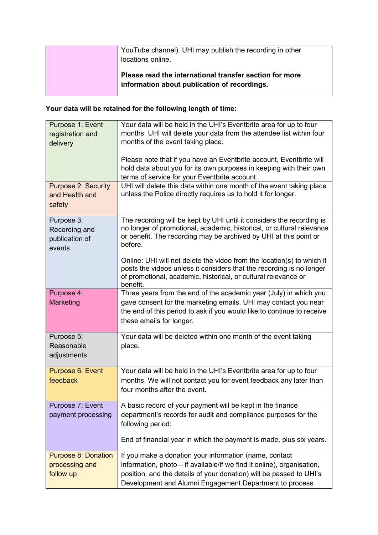| YouTube channel). UHI may publish the recording in other<br>locations online.                           |
|---------------------------------------------------------------------------------------------------------|
| Please read the international transfer section for more<br>information about publication of recordings. |

# **Your data will be retained for the following length of time:**

| Purpose 1: Event<br>registration and<br>delivery          | Your data will be held in the UHI's Eventbrite area for up to four<br>months. UHI will delete your data from the attendee list within four<br>months of the event taking place.<br>Please note that if you have an Eventbrite account, Eventbrite will             |
|-----------------------------------------------------------|--------------------------------------------------------------------------------------------------------------------------------------------------------------------------------------------------------------------------------------------------------------------|
|                                                           | hold data about you for its own purposes in keeping with their own<br>terms of service for your Eventbrite account.                                                                                                                                                |
| <b>Purpose 2: Security</b><br>and Health and<br>safety    | UHI will delete this data within one month of the event taking place<br>unless the Police directly requires us to hold it for longer.                                                                                                                              |
| Purpose 3:<br>Recording and<br>publication of<br>events   | The recording will be kept by UHI until it considers the recording is<br>no longer of promotional, academic, historical, or cultural relevance<br>or benefit. The recording may be archived by UHI at this point or<br>before.                                     |
|                                                           | Online: UHI will not delete the video from the location(s) to which it<br>posts the videos unless it considers that the recording is no longer<br>of promotional, academic, historical, or cultural relevance or<br>benefit.                                       |
| Purpose 4:<br><b>Marketing</b>                            | Three years from the end of the academic year (July) in which you<br>gave consent for the marketing emails. UHI may contact you near<br>the end of this period to ask if you would like to continue to receive<br>these emails for longer.                         |
| Purpose 5:<br>Reasonable<br>adjustments                   | Your data will be deleted within one month of the event taking<br>place.                                                                                                                                                                                           |
| Purpose 6: Event<br>feedback                              | Your data will be held in the UHI's Eventbrite area for up to four<br>months. We will not contact you for event feedback any later than<br>four months after the event.                                                                                            |
| Purpose 7: Event<br>payment processing                    | A basic record of your payment will be kept in the finance<br>department's records for audit and compliance purposes for the<br>following period:                                                                                                                  |
|                                                           | End of financial year in which the payment is made, plus six years.                                                                                                                                                                                                |
| <b>Purpose 8: Donation</b><br>processing and<br>follow up | If you make a donation your information (name, contact<br>information, photo – if available/if we find it online), organisation,<br>position, and the details of your donation) will be passed to UHI's<br>Development and Alumni Engagement Department to process |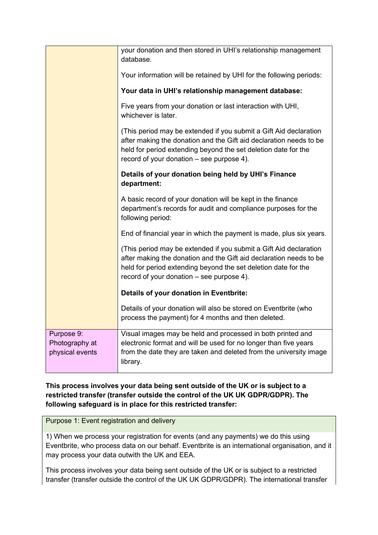|                                                 | your donation and then stored in UHI's relationship management<br>database.                                                                                                                                                                            |
|-------------------------------------------------|--------------------------------------------------------------------------------------------------------------------------------------------------------------------------------------------------------------------------------------------------------|
|                                                 | Your information will be retained by UHI for the following periods:                                                                                                                                                                                    |
|                                                 | Your data in UHI's relationship management database:                                                                                                                                                                                                   |
|                                                 | Five years from your donation or last interaction with UHI,<br>whichever is later.                                                                                                                                                                     |
|                                                 | (This period may be extended if you submit a Gift Aid declaration<br>after making the donation and the Gift aid declaration needs to be<br>held for period extending beyond the set deletion date for the<br>record of your donation - see purpose 4). |
|                                                 | Details of your donation being held by UHI's Finance<br>department:                                                                                                                                                                                    |
|                                                 | A basic record of your donation will be kept in the finance<br>department's records for audit and compliance purposes for the<br>following period:                                                                                                     |
|                                                 | End of financial year in which the payment is made, plus six years.                                                                                                                                                                                    |
|                                                 | (This period may be extended if you submit a Gift Aid declaration<br>after making the donation and the Gift aid declaration needs to be<br>held for period extending beyond the set deletion date for the<br>record of your donation – see purpose 4). |
|                                                 | Details of your donation in Eventbrite:                                                                                                                                                                                                                |
|                                                 | Details of your donation will also be stored on Eventbrite (who<br>process the payment) for 4 months and then deleted.                                                                                                                                 |
| Purpose 9:<br>Photography at<br>physical events | Visual images may be held and processed in both printed and<br>electronic format and will be used for no longer than five years<br>from the date they are taken and deleted from the university image<br>library.                                      |

**This process involves your data being sent outside of the UK or is subject to a restricted transfer (transfer outside the control of the UK UK GDPR/GDPR). The following safeguard is in place for this restricted transfer:** 

Purpose 1: Event registration and delivery

1) When we process your registration for events (and any payments) we do this using Eventbrite, who process data on our behalf. Eventbrite is an international organisation, and it may process your data outwith the UK and EEA.

This process involves your data being sent outside of the UK or is subject to a restricted transfer (transfer outside the control of the UK UK GDPR/GDPR). The international transfer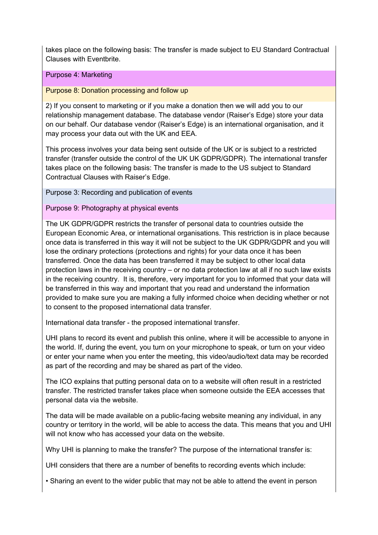takes place on the following basis: The transfer is made subject to EU Standard Contractual Clauses with Eventbrite.

#### Purpose 4: Marketing

Purpose 8: Donation processing and follow up

2) If you consent to marketing or if you make a donation then we will add you to our relationship management database. The database vendor (Raiser's Edge) store your data on our behalf. Our database vendor (Raiser's Edge) is an international organisation, and it may process your data out with the UK and EEA.

This process involves your data being sent outside of the UK or is subject to a restricted transfer (transfer outside the control of the UK UK GDPR/GDPR). The international transfer takes place on the following basis: The transfer is made to the US subject to Standard Contractual Clauses with Raiser's Edge.

Purpose 3: Recording and publication of events

Purpose 9: Photography at physical events

The UK GDPR/GDPR restricts the transfer of personal data to countries outside the European Economic Area, or international organisations. This restriction is in place because once data is transferred in this way it will not be subject to the UK GDPR/GDPR and you will lose the ordinary protections (protections and rights) for your data once it has been transferred. Once the data has been transferred it may be subject to other local data protection laws in the receiving country – or no data protection law at all if no such law exists in the receiving country. It is, therefore, very important for you to informed that your data will be transferred in this way and important that you read and understand the information provided to make sure you are making a fully informed choice when deciding whether or not to consent to the proposed international data transfer.

International data transfer - the proposed international transfer.

UHI plans to record its event and publish this online, where it will be accessible to anyone in the world. If, during the event, you turn on your microphone to speak, or turn on your video or enter your name when you enter the meeting, this video/audio/text data may be recorded as part of the recording and may be shared as part of the video.

The ICO explains that putting personal data on to a website will often result in a restricted transfer. The restricted transfer takes place when someone outside the EEA accesses that personal data via the website.

The data will be made available on a public-facing website meaning any individual, in any country or territory in the world, will be able to access the data. This means that you and UHI will not know who has accessed your data on the website.

Why UHI is planning to make the transfer? The purpose of the international transfer is:

UHI considers that there are a number of benefits to recording events which include:

• Sharing an event to the wider public that may not be able to attend the event in person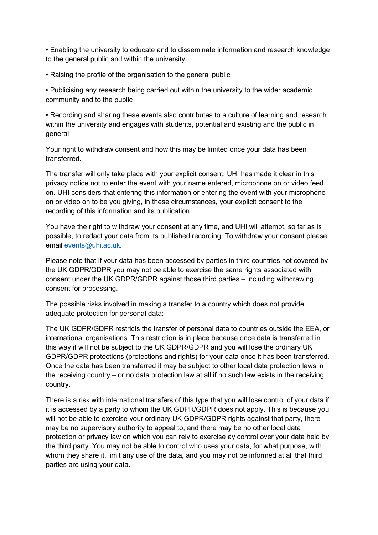• Enabling the university to educate and to disseminate information and research knowledge to the general public and within the university

• Raising the profile of the organisation to the general public

• Publicising any research being carried out within the university to the wider academic community and to the public

• Recording and sharing these events also contributes to a culture of learning and research within the university and engages with students, potential and existing and the public in general

Your right to withdraw consent and how this may be limited once your data has been transferred.

The transfer will only take place with your explicit consent. UHI has made it clear in this privacy notice not to enter the event with your name entered, microphone on or video feed on. UHI considers that entering this information or entering the event with your microphone on or video on to be you giving, in these circumstances, your explicit consent to the recording of this information and its publication.

You have the right to withdraw your consent at any time, and UHI will attempt, so far as is possible, to redact your data from its published recording. To withdraw your consent please email [events@uhi.ac.uk.](mailto:events@uhi.ac.uk)

Please note that if your data has been accessed by parties in third countries not covered by the UK GDPR/GDPR you may not be able to exercise the same rights associated with consent under the UK GDPR/GDPR against those third parties – including withdrawing consent for processing.

The possible risks involved in making a transfer to a country which does not provide adequate protection for personal data:

The UK GDPR/GDPR restricts the transfer of personal data to countries outside the EEA, or international organisations. This restriction is in place because once data is transferred in this way it will not be subject to the UK GDPR/GDPR and you will lose the ordinary UK GDPR/GDPR protections (protections and rights) for your data once it has been transferred. Once the data has been transferred it may be subject to other local data protection laws in the receiving country – or no data protection law at all if no such law exists in the receiving country.

There is a risk with international transfers of this type that you will lose control of your data if it is accessed by a party to whom the UK GDPR/GDPR does not apply. This is because you will not be able to exercise your ordinary UK GDPR/GDPR rights against that party, there may be no supervisory authority to appeal to, and there may be no other local data protection or privacy law on which you can rely to exercise ay control over your data held by the third party. You may not be able to control who uses your data, for what purpose, with whom they share it, limit any use of the data, and you may not be informed at all that third parties are using your data.